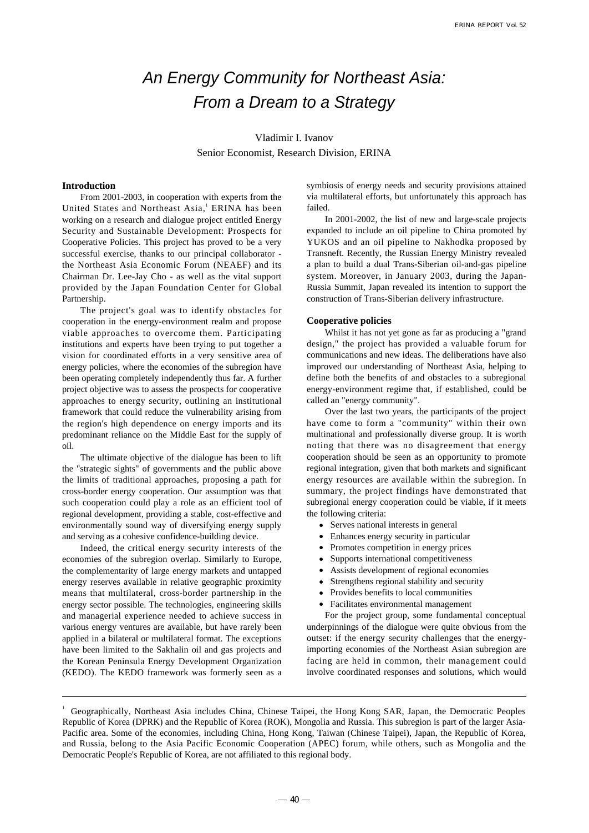# An Energy Community for Northeast Asia: From a Dream to a Strategy

Vladimir I. Ivanov Senior Economist, Research Division, ERINA

## **Introduction**

From 2001-2003, in cooperation with experts from the United States and Northeast Asia,<sup>1</sup> ERINA has been working on a research and dialogue project entitled Energy Security and Sustainable Development: Prospects for Cooperative Policies. This project has proved to be a very successful exercise, thanks to our principal collaborator the Northeast Asia Economic Forum (NEAEF) and its Chairman Dr. Lee-Jay Cho - as well as the vital support provided by the Japan Foundation Center for Global Partnership.

The project's goal was to identify obstacles for cooperation in the energy-environment realm and propose viable approaches to overcome them. Participating institutions and experts have been trying to put together a vision for coordinated efforts in a very sensitive area of energy policies, where the economies of the subregion have been operating completely independently thus far. A further project objective was to assess the prospects for cooperative approaches to energy security, outlining an institutional framework that could reduce the vulnerability arising from the region's high dependence on energy imports and its predominant reliance on the Middle East for the supply of oil.

The ultimate objective of the dialogue has been to lift the "strategic sights" of governments and the public above the limits of traditional approaches, proposing a path for cross-border energy cooperation. Our assumption was that such cooperation could play a role as an efficient tool of regional development, providing a stable, cost-effective and environmentally sound way of diversifying energy supply and serving as a cohesive confidence-building device.

Indeed, the critical energy security interests of the economies of the subregion overlap. Similarly to Europe, the complementarity of large energy markets and untapped energy reserves available in relative geographic proximity means that multilateral, cross-border partnership in the energy sector possible. The technologies, engineering skills and managerial experience needed to achieve success in various energy ventures are available, but have rarely been applied in a bilateral or multilateral format. The exceptions have been limited to the Sakhalin oil and gas projects and the Korean Peninsula Energy Development Organization (KEDO). The KEDO framework was formerly seen as a symbiosis of energy needs and security provisions attained via multilateral efforts, but unfortunately this approach has failed.

In 2001-2002, the list of new and large-scale projects expanded to include an oil pipeline to China promoted by YUKOS and an oil pipeline to Nakhodka proposed by Transneft. Recently, the Russian Energy Ministry revealed a plan to build a dual Trans-Siberian oil-and-gas pipeline system. Moreover, in January 2003, during the Japan-Russia Summit, Japan revealed its intention to support the construction of Trans-Siberian delivery infrastructure.

#### **Cooperative policies**

Whilst it has not yet gone as far as producing a "grand design," the project has provided a valuable forum for communications and new ideas. The deliberations have also improved our understanding of Northeast Asia, helping to define both the benefits of and obstacles to a subregional energy-environment regime that, if established, could be called an "energy community".

Over the last two years, the participants of the project have come to form a "community" within their own multinational and professionally diverse group. It is worth noting that there was no disagreement that energy cooperation should be seen as an opportunity to promote regional integration, given that both markets and significant energy resources are available within the subregion. In summary, the project findings have demonstrated that subregional energy cooperation could be viable, if it meets the following criteria:

> Serves national interests in general Enhances energy security in particular Promotes competition in energy prices Supports international competitiveness Assists development of regional economies Strengthens regional stability and security Provides benefits to local communities Facilitates environmental management

For the project group, some fundamental conceptual underpinnings of the dialogue were quite obvious from the outset: if the energy security challenges that the energyimporting economies of the Northeast Asian subregion are facing are held in common, their management could involve coordinated responses and solutions, which would

<sup>1</sup> Geographically, Northeast Asia includes China, Chinese Taipei, the Hong Kong SAR, Japan, the Democratic Peoples Republic of Korea (DPRK) and the Republic of Korea (ROK), Mongolia and Russia. This subregion is part of the larger Asia-Pacific area. Some of the economies, including China, Hong Kong, Taiwan (Chinese Taipei), Japan, the Republic of Korea, and Russia, belong to the Asia Pacific Economic Cooperation (APEC) forum, while others, such as Mongolia and the Democratic People's Republic of Korea, are not affiliated to this regional body.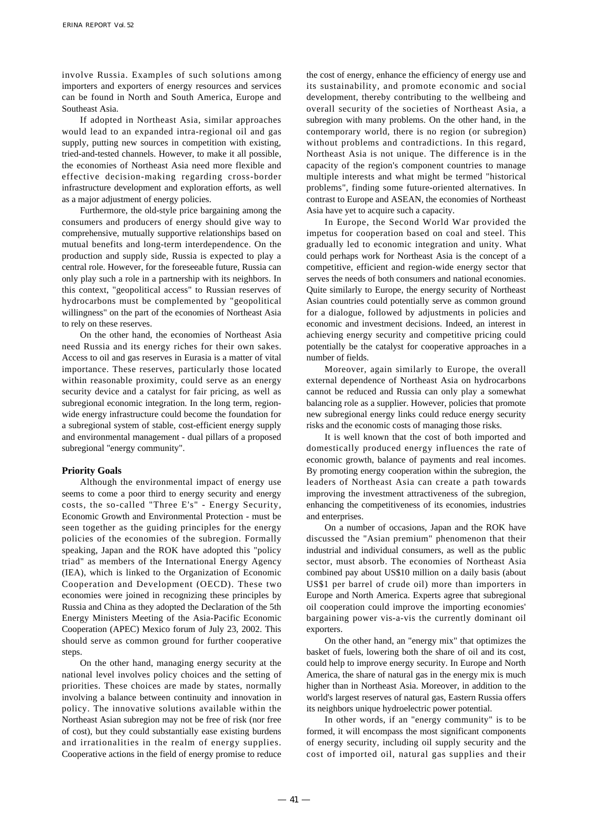involve Russia. Examples of such solutions among importers and exporters of energy resources and services can be found in North and South America, Europe and Southeast Asia.

If adopted in Northeast Asia, similar approaches would lead to an expanded intra-regional oil and gas supply, putting new sources in competition with existing, tried-and-tested channels. However, to make it all possible, the economies of Northeast Asia need more flexible and effective decision-making regarding cross-border infrastructure development and exploration efforts, as well as a major adjustment of energy policies.

Furthermore, the old-style price bargaining among the consumers and producers of energy should give way to comprehensive, mutually supportive relationships based on mutual benefits and long-term interdependence. On the production and supply side, Russia is expected to play a central role. However, for the foreseeable future, Russia can only play such a role in a partnership with its neighbors. In this context, "geopolitical access" to Russian reserves of hydrocarbons must be complemented by "geopolitical willingness" on the part of the economies of Northeast Asia to rely on these reserves.

On the other hand, the economies of Northeast Asia need Russia and its energy riches for their own sakes. Access to oil and gas reserves in Eurasia is a matter of vital importance. These reserves, particularly those located within reasonable proximity, could serve as an energy security device and a catalyst for fair pricing, as well as subregional economic integration. In the long term, regionwide energy infrastructure could become the foundation for a subregional system of stable, cost-efficient energy supply and environmental management - dual pillars of a proposed subregional "energy community".

#### **Priority Goals**

Although the environmental impact of energy use seems to come a poor third to energy security and energy costs, the so-called "Three E's" - Energy Security, Economic Growth and Environmental Protection - must be seen together as the guiding principles for the energy policies of the economies of the subregion. Formally speaking, Japan and the ROK have adopted this "policy triad" as members of the International Energy Agency (IEA), which is linked to the Organization of Economic Cooperation and Development (OECD). These two economies were joined in recognizing these principles by Russia and China as they adopted the Declaration of the 5th Energy Ministers Meeting of the Asia-Pacific Economic Cooperation (APEC) Mexico forum of July 23, 2002. This should serve as common ground for further cooperative steps.

On the other hand, managing energy security at the national level involves policy choices and the setting of priorities. These choices are made by states, normally involving a balance between continuity and innovation in policy. The innovative solutions available within the Northeast Asian subregion may not be free of risk (nor free of cost), but they could substantially ease existing burdens and irrationalities in the realm of energy supplies. Cooperative actions in the field of energy promise to reduce the cost of energy, enhance the efficiency of energy use and its sustainability, and promote economic and social development, thereby contributing to the wellbeing and overall security of the societies of Northeast Asia, a subregion with many problems. On the other hand, in the contemporary world, there is no region (or subregion) without problems and contradictions. In this regard, Northeast Asia is not unique. The difference is in the capacity of the region's component countries to manage multiple interests and what might be termed "historical problems", finding some future-oriented alternatives. In contrast to Europe and ASEAN, the economies of Northeast Asia have yet to acquire such a capacity.

In Europe, the Second World War provided the impetus for cooperation based on coal and steel. This gradually led to economic integration and unity. What could perhaps work for Northeast Asia is the concept of a competitive, efficient and region-wide energy sector that serves the needs of both consumers and national economies. Quite similarly to Europe, the energy security of Northeast Asian countries could potentially serve as common ground for a dialogue, followed by adjustments in policies and economic and investment decisions. Indeed, an interest in achieving energy security and competitive pricing could potentially be the catalyst for cooperative approaches in a number of fields.

Moreover, again similarly to Europe, the overall external dependence of Northeast Asia on hydrocarbons cannot be reduced and Russia can only play a somewhat balancing role as a supplier. However, policies that promote new subregional energy links could reduce energy security risks and the economic costs of managing those risks.

It is well known that the cost of both imported and domestically produced energy influences the rate of economic growth, balance of payments and real incomes. By promoting energy cooperation within the subregion, the leaders of Northeast Asia can create a path towards improving the investment attractiveness of the subregion, enhancing the competitiveness of its economies, industries and enterprises.

On a number of occasions, Japan and the ROK have discussed the "Asian premium" phenomenon that their industrial and individual consumers, as well as the public sector, must absorb. The economies of Northeast Asia combined pay about US\$10 million on a daily basis (about US\$1 per barrel of crude oil) more than importers in Europe and North America. Experts agree that subregional oil cooperation could improve the importing economies' bargaining power vis-a-vis the currently dominant oil exporters.

On the other hand, an "energy mix" that optimizes the basket of fuels, lowering both the share of oil and its cost, could help to improve energy security. In Europe and North America, the share of natural gas in the energy mix is much higher than in Northeast Asia. Moreover, in addition to the world's largest reserves of natural gas, Eastern Russia offers its neighbors unique hydroelectric power potential.

In other words, if an "energy community" is to be formed, it will encompass the most significant components of energy security, including oil supply security and the cost of imported oil, natural gas supplies and their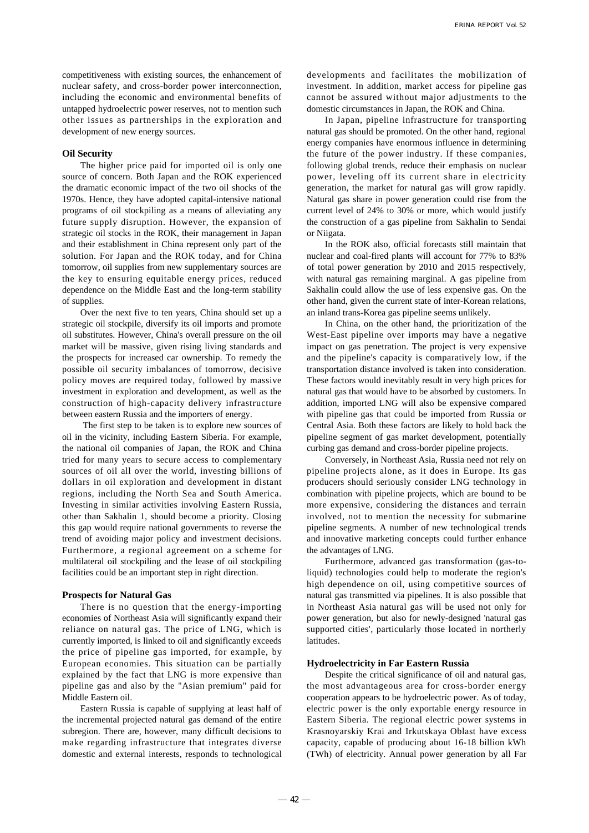competitiveness with existing sources, the enhancement of nuclear safety, and cross-border power interconnection, including the economic and environmental benefits of untapped hydroelectric power reserves, not to mention such other issues as partnerships in the exploration and development of new energy sources.

## **Oil Security**

The higher price paid for imported oil is only one source of concern. Both Japan and the ROK experienced the dramatic economic impact of the two oil shocks of the 1970s. Hence, they have adopted capital-intensive national programs of oil stockpiling as a means of alleviating any future supply disruption. However, the expansion of strategic oil stocks in the ROK, their management in Japan and their establishment in China represent only part of the solution. For Japan and the ROK today, and for China tomorrow, oil supplies from new supplementary sources are the key to ensuring equitable energy prices, reduced dependence on the Middle East and the long-term stability of supplies.

Over the next five to ten years, China should set up a strategic oil stockpile, diversify its oil imports and promote oil substitutes. However, China's overall pressure on the oil market will be massive, given rising living standards and the prospects for increased car ownership. To remedy the possible oil security imbalances of tomorrow, decisive policy moves are required today, followed by massive investment in exploration and development, as well as the construction of high-capacity delivery infrastructure between eastern Russia and the importers of energy.

The first step to be taken is to explore new sources of oil in the vicinity, including Eastern Siberia. For example, the national oil companies of Japan, the ROK and China tried for many years to secure access to complementary sources of oil all over the world, investing billions of dollars in oil exploration and development in distant regions, including the North Sea and South America. Investing in similar activities involving Eastern Russia, other than Sakhalin 1, should become a priority. Closing this gap would require national governments to reverse the trend of avoiding major policy and investment decisions. Furthermore, a regional agreement on a scheme for multilateral oil stockpiling and the lease of oil stockpiling facilities could be an important step in right direction.

#### **Prospects for Natural Gas**

There is no question that the energy-importing economies of Northeast Asia will significantly expand their reliance on natural gas. The price of LNG, which is currently imported, is linked to oil and significantly exceeds the price of pipeline gas imported, for example, by European economies. This situation can be partially explained by the fact that LNG is more expensive than pipeline gas and also by the "Asian premium" paid for Middle Eastern oil.

Eastern Russia is capable of supplying at least half of the incremental projected natural gas demand of the entire subregion. There are, however, many difficult decisions to make regarding infrastructure that integrates diverse domestic and external interests, responds to technological

developments and facilitates the mobilization of investment. In addition, market access for pipeline gas cannot be assured without major adjustments to the domestic circumstances in Japan, the ROK and China.

In Japan, pipeline infrastructure for transporting natural gas should be promoted. On the other hand, regional energy companies have enormous influence in determining the future of the power industry. If these companies, following global trends, reduce their emphasis on nuclear power, leveling off its current share in electricity generation, the market for natural gas will grow rapidly. Natural gas share in power generation could rise from the current level of 24% to 30% or more, which would justify the construction of a gas pipeline from Sakhalin to Sendai or Niigata.

In the ROK also, official forecasts still maintain that nuclear and coal-fired plants will account for 77% to 83% of total power generation by 2010 and 2015 respectively, with natural gas remaining marginal. A gas pipeline from Sakhalin could allow the use of less expensive gas. On the other hand, given the current state of inter-Korean relations, an inland trans-Korea gas pipeline seems unlikely.

In China, on the other hand, the prioritization of the West-East pipeline over imports may have a negative impact on gas penetration. The project is very expensive and the pipeline's capacity is comparatively low, if the transportation distance involved is taken into consideration. These factors would inevitably result in very high prices for natural gas that would have to be absorbed by customers. In addition, imported LNG will also be expensive compared with pipeline gas that could be imported from Russia or Central Asia. Both these factors are likely to hold back the pipeline segment of gas market development, potentially curbing gas demand and cross-border pipeline projects.

Conversely, in Northeast Asia, Russia need not rely on pipeline projects alone, as it does in Europe. Its gas producers should seriously consider LNG technology in combination with pipeline projects, which are bound to be more expensive, considering the distances and terrain involved, not to mention the necessity for submarine pipeline segments. A number of new technological trends and innovative marketing concepts could further enhance the advantages of LNG.

Furthermore, advanced gas transformation (gas-toliquid) technologies could help to moderate the region's high dependence on oil, using competitive sources of natural gas transmitted via pipelines. It is also possible that in Northeast Asia natural gas will be used not only for power generation, but also for newly-designed 'natural gas supported cities', particularly those located in northerly latitudes.

#### **Hydroelectricity in Far Eastern Russia**

Despite the critical significance of oil and natural gas, the most advantageous area for cross-border energy cooperation appears to be hydroelectric power. As of today, electric power is the only exportable energy resource in Eastern Siberia. The regional electric power systems in Krasnoyarskiy Krai and Irkutskaya Oblast have excess capacity, capable of producing about 16-18 billion kWh (TWh) of electricity. Annual power generation by all Far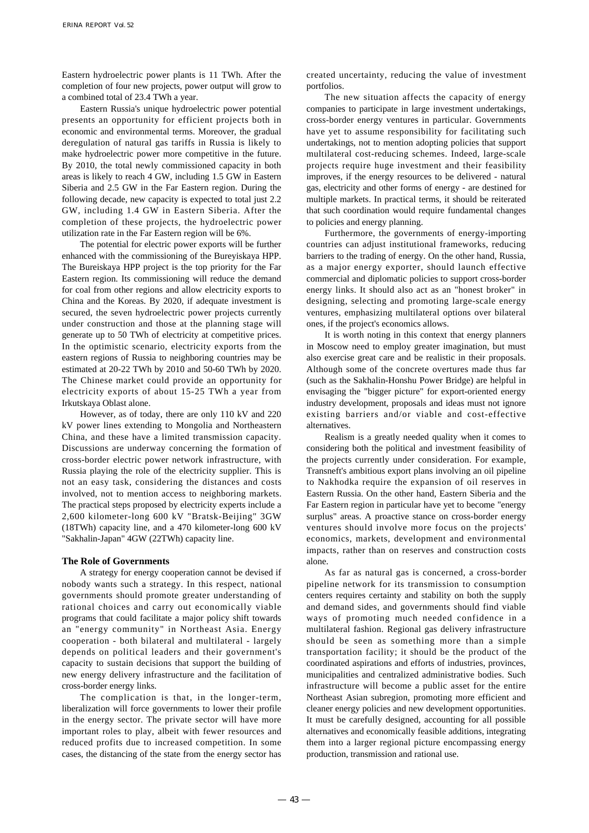Eastern hydroelectric power plants is 11 TWh. After the completion of four new projects, power output will grow to a combined total of 23.4 TWh a year.

Eastern Russia's unique hydroelectric power potential presents an opportunity for efficient projects both in economic and environmental terms. Moreover, the gradual deregulation of natural gas tariffs in Russia is likely to make hydroelectric power more competitive in the future. By 2010, the total newly commissioned capacity in both areas is likely to reach 4 GW, including 1.5 GW in Eastern Siberia and 2.5 GW in the Far Eastern region. During the following decade, new capacity is expected to total just 2.2 GW, including 1.4 GW in Eastern Siberia. After the completion of these projects, the hydroelectric power utilization rate in the Far Eastern region will be 6%.

The potential for electric power exports will be further enhanced with the commissioning of the Bureyiskaya HPP. The Bureiskaya HPP project is the top priority for the Far Eastern region. Its commissioning will reduce the demand for coal from other regions and allow electricity exports to China and the Koreas. By 2020, if adequate investment is secured, the seven hydroelectric power projects currently under construction and those at the planning stage will generate up to 50 TWh of electricity at competitive prices. In the optimistic scenario, electricity exports from the eastern regions of Russia to neighboring countries may be estimated at 20-22 TWh by 2010 and 50-60 TWh by 2020. The Chinese market could provide an opportunity for electricity exports of about 15-25 TWh a year from Irkutskaya Oblast alone.

However, as of today, there are only 110 kV and 220 kV power lines extending to Mongolia and Northeastern China, and these have a limited transmission capacity. Discussions are underway concerning the formation of cross-border electric power network infrastructure, with Russia playing the role of the electricity supplier. This is not an easy task, considering the distances and costs involved, not to mention access to neighboring markets. The practical steps proposed by electricity experts include a 2,600 kilometer-long 600 kV "Bratsk-Beijing" 3GW (18TWh) capacity line, and a 470 kilometer-long 600 kV "Sakhalin-Japan" 4GW (22TWh) capacity line.

## **The Role of Governments**

A strategy for energy cooperation cannot be devised if nobody wants such a strategy. In this respect, national governments should promote greater understanding of rational choices and carry out economically viable programs that could facilitate a major policy shift towards an "energy community" in Northeast Asia. Energy cooperation - both bilateral and multilateral - largely depends on political leaders and their government's capacity to sustain decisions that support the building of new energy delivery infrastructure and the facilitation of cross-border energy links.

The complication is that, in the longer-term, liberalization will force governments to lower their profile in the energy sector. The private sector will have more important roles to play, albeit with fewer resources and reduced profits due to increased competition. In some cases, the distancing of the state from the energy sector has created uncertainty, reducing the value of investment portfolios.

The new situation affects the capacity of energy companies to participate in large investment undertakings, cross-border energy ventures in particular. Governments have yet to assume responsibility for facilitating such undertakings, not to mention adopting policies that support multilateral cost-reducing schemes. Indeed, large-scale projects require huge investment and their feasibility improves, if the energy resources to be delivered - natural gas, electricity and other forms of energy - are destined for multiple markets. In practical terms, it should be reiterated that such coordination would require fundamental changes to policies and energy planning.

Furthermore, the governments of energy-importing countries can adjust institutional frameworks, reducing barriers to the trading of energy. On the other hand, Russia, as a major energy exporter, should launch effective commercial and diplomatic policies to support cross-border energy links. It should also act as an "honest broker" in designing, selecting and promoting large-scale energy ventures, emphasizing multilateral options over bilateral ones, if the project's economics allows.

It is worth noting in this context that energy planners in Moscow need to employ greater imagination, but must also exercise great care and be realistic in their proposals. Although some of the concrete overtures made thus far (such as the Sakhalin-Honshu Power Bridge) are helpful in envisaging the "bigger picture" for export-oriented energy industry development, proposals and ideas must not ignore existing barriers and/or viable and cost-effective alternatives.

Realism is a greatly needed quality when it comes to considering both the political and investment feasibility of the projects currently under consideration. For example, Transneft's ambitious export plans involving an oil pipeline to Nakhodka require the expansion of oil reserves in Eastern Russia. On the other hand, Eastern Siberia and the Far Eastern region in particular have yet to become "energy surplus" areas. A proactive stance on cross-border energy ventures should involve more focus on the projects' economics, markets, development and environmental impacts, rather than on reserves and construction costs alone.

As far as natural gas is concerned, a cross-border pipeline network for its transmission to consumption centers requires certainty and stability on both the supply and demand sides, and governments should find viable ways of promoting much needed confidence in a multilateral fashion. Regional gas delivery infrastructure should be seen as something more than a simple transportation facility; it should be the product of the coordinated aspirations and efforts of industries, provinces, municipalities and centralized administrative bodies. Such infrastructure will become a public asset for the entire Northeast Asian subregion, promoting more efficient and cleaner energy policies and new development opportunities. It must be carefully designed, accounting for all possible alternatives and economically feasible additions, integrating them into a larger regional picture encompassing energy production, transmission and rational use.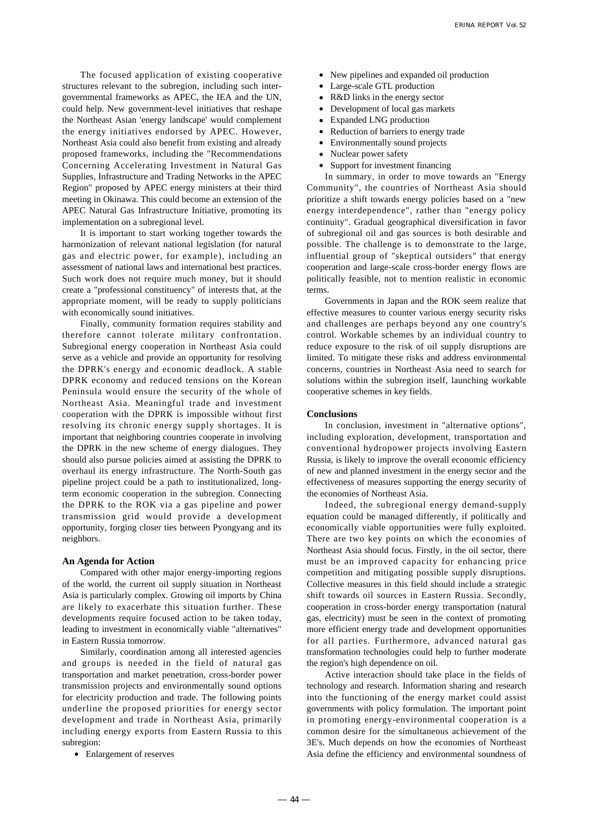The focused application of existing cooperative structures relevant to the subregion, including such intergovernmental frameworks as APEC, the IEA and the UN, could help. New government-level initiatives that reshape the Northeast Asian 'energy landscape' would complement the energy initiatives endorsed by APEC. However, Northeast Asia could also benefit from existing and already proposed frameworks, including the "Recommendations Concerning Accelerating Investment in Natural Gas Supplies, Infrastructure and Trading Networks in the APEC Region" proposed by APEC energy ministers at their third meeting in Okinawa. This could become an extension of the APEC Natural Gas Infrastructure Initiative, promoting its implementation on a subregional level.

It is important to start working together towards the harmonization of relevant national legislation (for natural gas and electric power, for example), including an assessment of national laws and international best practices. Such work does not require much money, but it should create a "professional constituency" of interests that, at the appropriate moment, will be ready to supply politicians with economically sound initiatives.

Finally, community formation requires stability and therefore cannot tolerate military confrontation. Subregional energy cooperation in Northeast Asia could serve as a vehicle and provide an opportunity for resolving the DPRK's energy and economic deadlock. A stable DPRK economy and reduced tensions on the Korean Peninsula would ensure the security of the whole of Northeast Asia. Meaningful trade and investment cooperation with the DPRK is impossible without first resolving its chronic energy supply shortages. It is important that neighboring countries cooperate in involving the DPRK in the new scheme of energy dialogues. They should also pursue policies aimed at assisting the DPRK to overhaul its energy infrastructure. The North-South gas pipeline project could be a path to institutionalized, longterm economic cooperation in the subregion. Connecting the DPRK to the ROK via a gas pipeline and power transmission grid would provide a development opportunity, forging closer ties between Pyongyang and its neighbors.

## **An Agenda for Action**

Compared with other major energy-importing regions of the world, the current oil supply situation in Northeast Asia is particularly complex. Growing oil imports by China are likely to exacerbate this situation further. These developments require focused action to be taken today, leading to investment in economically viable "alternatives" in Eastern Russia tomorrow.

Similarly, coordination among all interested agencies and groups is needed in the field of natural gas transportation and market penetration, cross-border power transmission projects and environmentally sound options for electricity production and trade. The following points underline the proposed priorities for energy sector development and trade in Northeast Asia, primarily including energy exports from Eastern Russia to this subregion:

Enlargement of reserves

New pipelines and expanded oil production Large-scale GTL production R&D links in the energy sector Development of local gas markets Expanded LNG production Reduction of barriers to energy trade Environmentally sound projects Nuclear power safety Support for investment financing

In summary, in order to move towards an "Energy Community", the countries of Northeast Asia should prioritize a shift towards energy policies based on a "new energy interdependence", rather than "energy policy continuity". Gradual geographical diversification in favor of subregional oil and gas sources is both desirable and possible. The challenge is to demonstrate to the large, influential group of "skeptical outsiders" that energy cooperation and large-scale cross-border energy flows are politically feasible, not to mention realistic in economic terms.

Governments in Japan and the ROK seem realize that effective measures to counter various energy security risks and challenges are perhaps beyond any one country's control. Workable schemes by an individual country to reduce exposure to the risk of oil supply disruptions are limited. To mitigate these risks and address environmental concerns, countries in Northeast Asia need to search for solutions within the subregion itself, launching workable cooperative schemes in key fields.

## **Conclusions**

In conclusion, investment in "alternative options", including exploration, development, transportation and conventional hydropower projects involving Eastern Russia, is likely to improve the overall economic efficiency of new and planned investment in the energy sector and the effectiveness of measures supporting the energy security of the economies of Northeast Asia.

Indeed, the subregional energy demand-supply equation could be managed differently, if politically and economically viable opportunities were fully exploited. There are two key points on which the economies of Northeast Asia should focus. Firstly, in the oil sector, there must be an improved capacity for enhancing price competition and mitigating possible supply disruptions. Collective measures in this field should include a strategic shift towards oil sources in Eastern Russia. Secondly, cooperation in cross-border energy transportation (natural gas, electricity) must be seen in the context of promoting more efficient energy trade and development opportunities for all parties. Furthermore, advanced natural gas transformation technologies could help to further moderate the region's high dependence on oil.

Active interaction should take place in the fields of technology and research. Information sharing and research into the functioning of the energy market could assist governments with policy formulation. The important point in promoting energy-environmental cooperation is a common desire for the simultaneous achievement of the 3E's. Much depends on how the economies of Northeast Asia define the efficiency and environmental soundness of